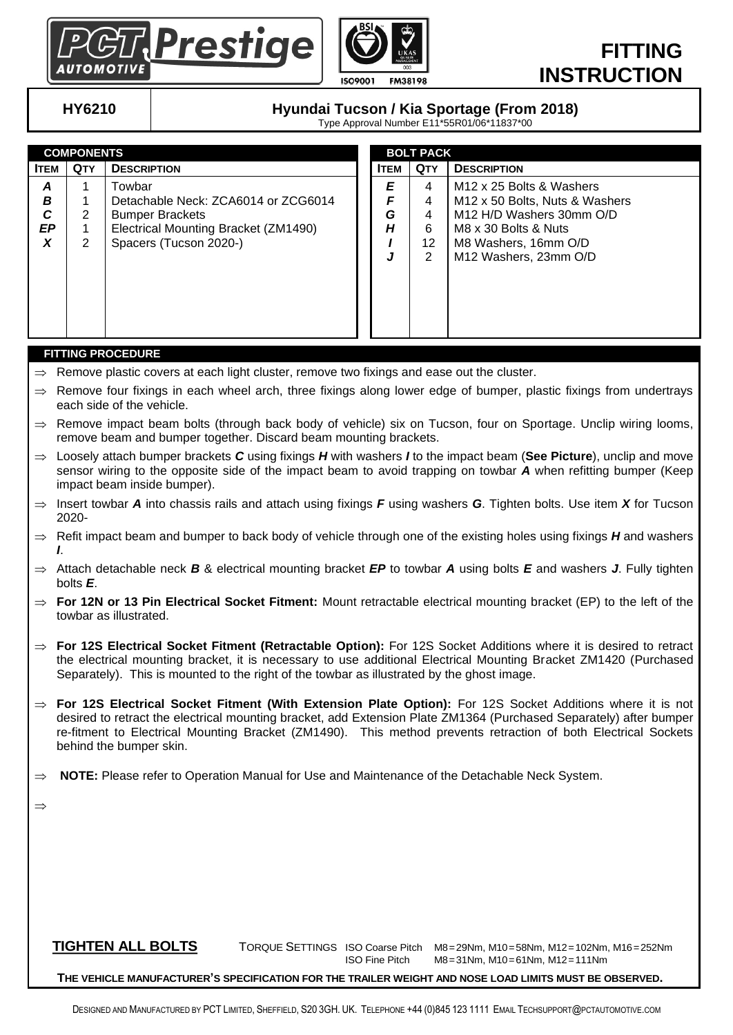



## **FITTING INSTRUCTION**

## **HY6210 Hyundai Tucson / Kia Sportage (From 2018)**

Type Approval Number E11\*55R01/06\*11837\*00

| <b>COMPONENTS</b>      |            |                                                                                                                                           | <b>BOLT PACK</b> |                       |                             |                                                                                                                                                                                                     |
|------------------------|------------|-------------------------------------------------------------------------------------------------------------------------------------------|------------------|-----------------------|-----------------------------|-----------------------------------------------------------------------------------------------------------------------------------------------------------------------------------------------------|
| Ітем                   | <b>QTY</b> | <b>DESCRIPTION</b>                                                                                                                        |                  | <b>ITEM</b>           | <b>QTY</b>                  | <b>DESCRIPTION</b>                                                                                                                                                                                  |
| A<br>В<br>C<br>EP<br>X | 2<br>2     | Towbar<br>Detachable Neck: ZCA6014 or ZCG6014<br><b>Bumper Brackets</b><br>Electrical Mounting Bracket (ZM1490)<br>Spacers (Tucson 2020-) |                  | E<br>F<br>G<br>Н<br>J | 4<br>4<br>4<br>6<br>12<br>2 | M <sub>12</sub> x 25 Bolts & Washers<br>M <sub>12</sub> x 50 Bolts, Nuts & Washers<br>M <sub>12</sub> H/D Washers 30mm O/D<br>M8 x 30 Bolts & Nuts<br>M8 Washers, 16mm O/D<br>M12 Washers, 23mm O/D |

#### **FITTING PROCEDURE**

- $\Rightarrow$  Remove plastic covers at each light cluster, remove two fixings and ease out the cluster.
- $\Rightarrow$  Remove four fixings in each wheel arch, three fixings along lower edge of bumper, plastic fixings from undertrays each side of the vehicle.
- $\Rightarrow$  Remove impact beam bolts (through back body of vehicle) six on Tucson, four on Sportage. Unclip wiring looms, remove beam and bumper together. Discard beam mounting brackets.
- Loosely attach bumper brackets *C* using fixings *H* with washers *I* to the impact beam (**See Picture**), unclip and move sensor wiring to the opposite side of the impact beam to avoid trapping on towbar *A* when refitting bumper (Keep impact beam inside bumper).
- $\Rightarrow$  Insert towbar *A* into chassis rails and attach using fixings *F* using washers *G*. Tighten bolts. Use item *X* for Tucson 2020-
- $\Rightarrow$  Refit impact beam and bumper to back body of vehicle through one of the existing holes using fixings *H* and washers *I*.
- Attach detachable neck *B* & electrical mounting bracket *EP* to towbar *A* using bolts *E* and washers *J*. Fully tighten bolts *E*.
- $\Rightarrow$  **For 12N or 13 Pin Electrical Socket Fitment:** Mount retractable electrical mounting bracket (EP) to the left of the towbar as illustrated.
- **For 12S Electrical Socket Fitment (Retractable Option):** For 12S Socket Additions where it is desired to retract the electrical mounting bracket, it is necessary to use additional Electrical Mounting Bracket ZM1420 (Purchased Separately). This is mounted to the right of the towbar as illustrated by the ghost image.
- **For 12S Electrical Socket Fitment (With Extension Plate Option):** For 12S Socket Additions where it is not desired to retract the electrical mounting bracket, add Extension Plate ZM1364 (Purchased Separately) after bumper re-fitment to Electrical Mounting Bracket (ZM1490). This method prevents retraction of both Electrical Sockets behind the bumper skin.
- $\Rightarrow$  **NOTE:** Please refer to Operation Manual for Use and Maintenance of the Detachable Neck System.

 $\Rightarrow$ 

 **TIGHTEN ALL BOLTS** TORQUE SETTINGS ISO Coarse Pitch M8=29Nm, M10=58Nm, M12=102Nm, M16=252Nm ISO Fine Pitch M8=31Nm, M10=61Nm, M12=111Nm

 **THE VEHICLE MANUFACTURER'S SPECIFICATION FOR THE TRAILER WEIGHT AND NOSE LOAD LIMITS MUST BE OBSERVED.**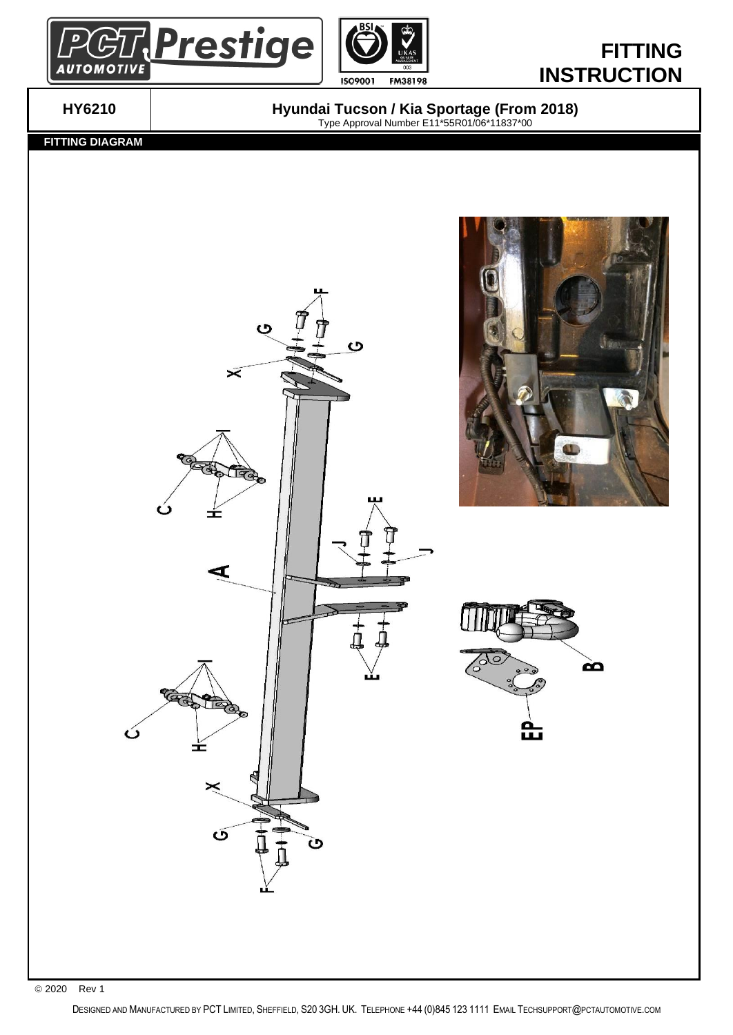



# **FITTING INSTRUCTION**

**HY6210 Hyundai Tucson / Kia Sportage (From 2018)** Type Approval Number E11\*55R01/06\*11837\*00

 **FITTING DIAGRAM**